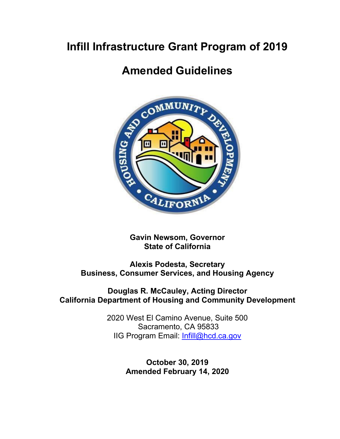## **Infill Infrastructure Grant Program of 2019**

# **Amended Guidelines**



**Gavin Newsom, Governor State of California**

### **Alexis Podesta, Secretary Business, Consumer Services, and Housing Agency**

### **Douglas R. McCauley, Acting Director California Department of Housing and Community Development**

2020 West El Camino Avenue, Suite 500 Sacramento, CA 95833 IIG Program Email: [Infill@hcd.ca.gov](mailto:Infill@hcd.ca.gov)

> **October 30, 2019 Amended February 14, 2020**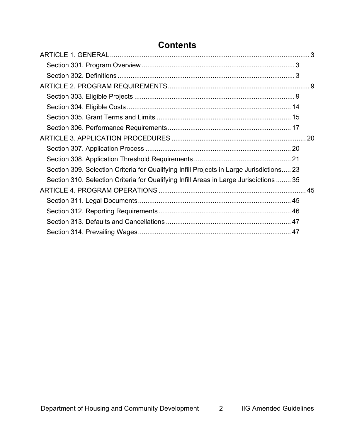| Section 309. Selection Criteria for Qualifying Infill Projects in Large Jurisdictions 23 |  |
|------------------------------------------------------------------------------------------|--|
| Section 310. Selection Criteria for Qualifying Infill Areas in Large Jurisdictions  35   |  |
|                                                                                          |  |
|                                                                                          |  |
|                                                                                          |  |
|                                                                                          |  |
|                                                                                          |  |

## **Contents**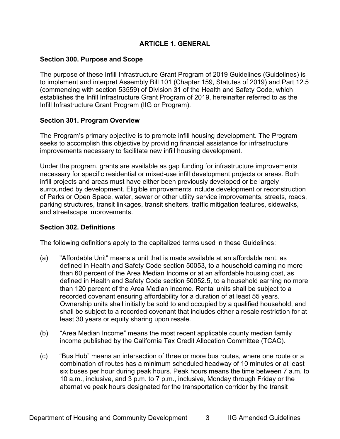#### **ARTICLE 1. GENERAL**

#### <span id="page-2-0"></span>**Section 300. Purpose and Scope**

The purpose of these Infill Infrastructure Grant Program of 2019 Guidelines (Guidelines) is to implement and interpret Assembly Bill 101 (Chapter 159, Statutes of 2019) and Part 12.5 (commencing with section 53559) of Division 31 of the Health and Safety Code, which establishes the Infill Infrastructure Grant Program of 2019, hereinafter referred to as the Infill Infrastructure Grant Program (IIG or Program).

#### <span id="page-2-1"></span>**Section 301. Program Overview**

The Program's primary objective is to promote infill housing development. The Program seeks to accomplish this objective by providing financial assistance for infrastructure improvements necessary to facilitate new infill housing development.

Under the program, grants are available as gap funding for infrastructure improvements necessary for specific residential or mixed-use infill development projects or areas. Both infill projects and areas must have either been previously developed or be largely surrounded by development. Eligible improvements include development or reconstruction of Parks or Open Space, water, sewer or other utility service improvements, streets, roads, parking structures, transit linkages, transit shelters, traffic mitigation features, sidewalks, and streetscape improvements.

#### <span id="page-2-2"></span>**Section 302. Definitions**

The following definitions apply to the capitalized terms used in these Guidelines:

- (a) "Affordable Unit" means a unit that is made available at an affordable rent, as defined in Health and Safety Code section 50053, to a household earning no more than 60 percent of the Area Median Income or at an affordable housing cost, as defined in Health and Safety Code section 50052.5, to a household earning no more than 120 percent of the Area Median Income. Rental units shall be subject to a recorded covenant ensuring affordability for a duration of at least 55 years. Ownership units shall initially be sold to and occupied by a qualified household, and shall be subject to a recorded covenant that includes either a resale restriction for at least 30 years or equity sharing upon resale.
- (b) "Area Median Income" means the most recent applicable county median family income published by the California Tax Credit Allocation Committee (TCAC).
- (c) "Bus Hub" means an intersection of three or more bus routes, where one route or a combination of routes has a minimum scheduled headway of 10 minutes or at least six buses per hour during peak hours. Peak hours means the time between 7 a.m. to 10 a.m., inclusive, and 3 p.m. to 7 p.m., inclusive, Monday through Friday or the alternative peak hours designated for the transportation corridor by the transit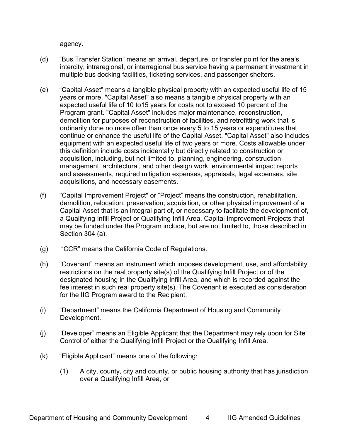agency.

- (d) "Bus Transfer Station" means an arrival, departure, or transfer point for the area's intercity, intraregional, or interregional bus service having a permanent investment in multiple bus docking facilities, ticketing services, and passenger shelters.
- (e) "Capital Asset" means a tangible physical property with an expected useful life of 15 years or more. "Capital Asset" also means a tangible physical property with an expected useful life of 10 to15 years for costs not to exceed 10 percent of the Program grant. "Capital Asset" includes major maintenance, reconstruction, demolition for purposes of reconstruction of facilities, and retrofitting work that is ordinarily done no more often than once every 5 to 15 years or expenditures that continue or enhance the useful life of the Capital Asset. "Capital Asset" also includes equipment with an expected useful life of two years or more. Costs allowable under this definition include costs incidentally but directly related to construction or acquisition, including, but not limited to, planning, engineering, construction management, architectural, and other design work, environmental impact reports and assessments, required mitigation expenses, appraisals, legal expenses, site acquisitions, and necessary easements.
- (f) "Capital Improvement Project" or "Project" means the construction, rehabilitation, demolition, relocation, preservation, acquisition, or other physical improvement of a Capital Asset that is an integral part of, or necessary to facilitate the development of, a Qualifying Infill Project or Qualifying Infill Area. Capital Improvement Projects that may be funded under the Program include, but are not limited to, those described in Section 304 (a).
- (g) "CCR" means the California Code of Regulations.
- (h) "Covenant" means an instrument which imposes development, use, and affordability restrictions on the real property site(s) of the Qualifying Infill Project or of the designated housing in the Qualifying Infill Area, and which is recorded against the fee interest in such real property site(s). The Covenant is executed as consideration for the IIG Program award to the Recipient.
- (i) "Department" means the California Department of Housing and Community Development.
- (j) "Developer" means an Eligible Applicant that the Department may rely upon for Site Control of either the Qualifying Infill Project or the Qualifying Infill Area.
- (k) "Eligible Applicant" means one of the following:
	- (1) A city, county, city and county, or public housing authority that has jurisdiction over a Qualifying Infill Area, or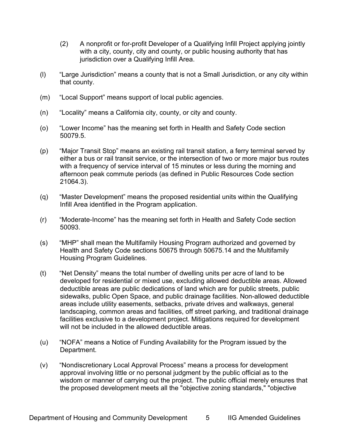- (2) A nonprofit or for-profit Developer of a Qualifying Infill Project applying jointly with a city, county, city and county, or public housing authority that has jurisdiction over a Qualifying Infill Area.
- (l) "Large Jurisdiction" means a county that is not a Small Jurisdiction, or any city within that county.
- (m) "Local Support" means support of local public agencies.
- (n) "Locality" means a California city, county, or city and county.
- (o) "Lower Income" has the meaning set forth in Health and Safety Code section 50079.5.
- (p) "Major Transit Stop" means an existing rail transit station, a ferry terminal served by either a bus or rail transit service, or the intersection of two or more major bus routes with a frequency of service interval of 15 minutes or less during the morning and afternoon peak commute periods (as defined in Public Resources Code section 21064.3).
- (q) "Master Development" means the proposed residential units within the Qualifying Infill Area identified in the Program application.
- (r) "Moderate-Income" has the meaning set forth in Health and Safety Code section 50093.
- (s) "MHP" shall mean the Multifamily Housing Program authorized and governed by Health and Safety Code sections 50675 through 50675.14 and the Multifamily Housing Program Guidelines.
- (t) "Net Density" means the total number of dwelling units per acre of land to be developed for residential or mixed use, excluding allowed deductible areas. Allowed deductible areas are public dedications of land which are for public streets, public sidewalks, public Open Space, and public drainage facilities. Non-allowed deductible areas include utility easements, setbacks, private drives and walkways, general landscaping, common areas and facilities, off street parking, and traditional drainage facilities exclusive to a development project. Mitigations required for development will not be included in the allowed deductible areas.
- (u) "NOFA" means a Notice of Funding Availability for the Program issued by the Department.
- (v) "Nondiscretionary Local Approval Process" means a process for development approval involving little or no personal judgment by the public official as to the wisdom or manner of carrying out the project. The public official merely ensures that the proposed development meets all the "objective zoning standards," "objective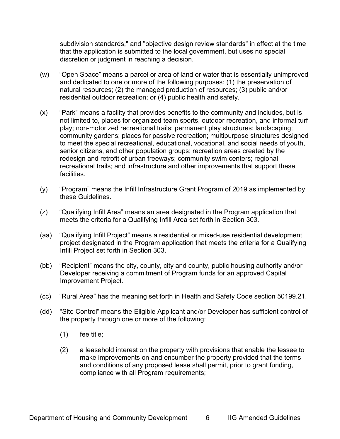subdivision standards," and "objective design review standards" in effect at the time that the application is submitted to the local government, but uses no special discretion or judgment in reaching a decision.

- (w) "Open Space" means a parcel or area of land or water that is essentially unimproved and dedicated to one or more of the following purposes: (1) the preservation of natural resources; (2) the managed production of resources; (3) public and/or residential outdoor recreation; or (4) public health and safety.
- (x) "Park" means a facility that provides benefits to the community and includes, but is not limited to, places for organized team sports, outdoor recreation, and informal turf play; non-motorized recreational trails; permanent play structures; landscaping; community gardens; places for passive recreation; multipurpose structures designed to meet the special recreational, educational, vocational, and social needs of youth, senior citizens, and other population groups; recreation areas created by the redesign and retrofit of urban freeways; community swim centers; regional recreational trails; and infrastructure and other improvements that support these facilities.
- (y) "Program" means the Infill Infrastructure Grant Program of 2019 as implemented by these Guidelines.
- (z) "Qualifying Infill Area" means an area designated in the Program application that meets the criteria for a Qualifying Infill Area set forth in Section 303.
- (aa) "Qualifying Infill Project" means a residential or mixed-use residential development project designated in the Program application that meets the criteria for a Qualifying Infill Project set forth in Section 303.
- (bb) "Recipient" means the city, county, city and county, public housing authority and/or Developer receiving a commitment of Program funds for an approved Capital Improvement Project.
- (cc) "Rural Area" has the meaning set forth in Health and Safety Code section 50199.21.
- (dd) "Site Control" means the Eligible Applicant and/or Developer has sufficient control of the property through one or more of the following:
	- (1) fee title;
	- (2) a leasehold interest on the property with provisions that enable the lessee to make improvements on and encumber the property provided that the terms and conditions of any proposed lease shall permit, prior to grant funding, compliance with all Program requirements;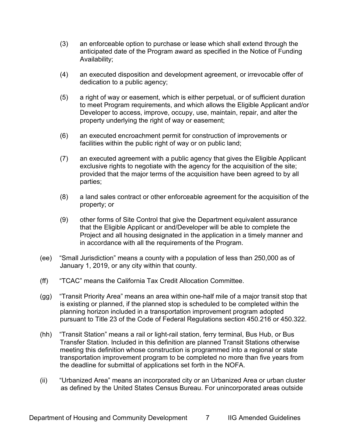- (3) an enforceable option to purchase or lease which shall extend through the anticipated date of the Program award as specified in the Notice of Funding Availability;
- (4) an executed disposition and development agreement, or irrevocable offer of dedication to a public agency;
- (5) a right of way or easement, which is either perpetual, or of sufficient duration to meet Program requirements, and which allows the Eligible Applicant and/or Developer to access, improve, occupy, use, maintain, repair, and alter the property underlying the right of way or easement;
- (6) an executed encroachment permit for construction of improvements or facilities within the public right of way or on public land;
- (7) an executed agreement with a public agency that gives the Eligible Applicant exclusive rights to negotiate with the agency for the acquisition of the site; provided that the major terms of the acquisition have been agreed to by all parties;
- (8) a land sales contract or other enforceable agreement for the acquisition of the property; or
- (9) other forms of Site Control that give the Department equivalent assurance that the Eligible Applicant or and/Developer will be able to complete the Project and all housing designated in the application in a timely manner and in accordance with all the requirements of the Program.
- (ee) "Small Jurisdiction" means a county with a population of less than 250,000 as of January 1, 2019, or any city within that county.
- (ff) "TCAC" means the California Tax Credit Allocation Committee.
- (gg) "Transit Priority Area" means an area within one-half mile of a major transit stop that is existing or planned, if the planned stop is scheduled to be completed within the planning horizon included in a transportation improvement program adopted pursuant to Title 23 of the Code of Federal Regulations section 450.216 or 450.322.
- (hh) "Transit Station" means a rail or light-rail station, ferry terminal, Bus Hub, or Bus Transfer Station. Included in this definition are planned Transit Stations otherwise meeting this definition whose construction is programmed into a regional or state transportation improvement program to be completed no more than five years from the deadline for submittal of applications set forth in the NOFA.
- (ii) "Urbanized Area" means an incorporated city or an Urbanized Area or urban cluster as defined by the United States Census Bureau. For unincorporated areas outside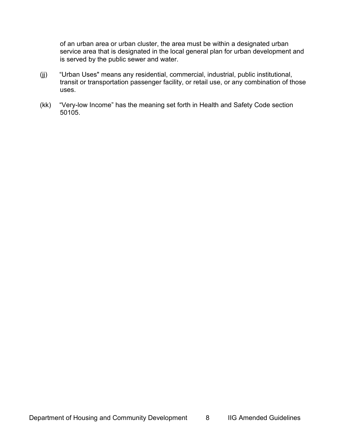of an urban area or urban cluster, the area must be within a designated urban service area that is designated in the local general plan for urban development and is served by the public sewer and water.

- (jj) "Urban Uses" means any residential, commercial, industrial, public institutional, transit or transportation passenger facility, or retail use, or any combination of those uses.
- (kk) "Very-low Income" has the meaning set forth in Health and Safety Code section 50105.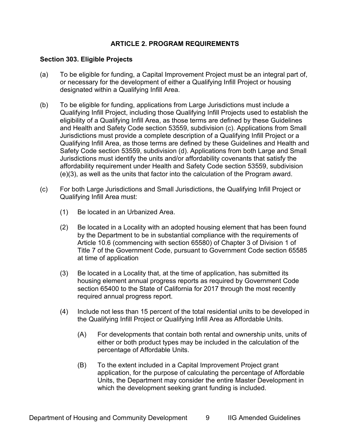#### **ARTICLE 2. PROGRAM REQUIREMENTS**

#### <span id="page-8-1"></span><span id="page-8-0"></span>**Section 303. Eligible Projects**

- (a) To be eligible for funding, a Capital Improvement Project must be an integral part of, or necessary for the development of either a Qualifying Infill Project or housing designated within a Qualifying Infill Area.
- (b) To be eligible for funding, applications from Large Jurisdictions must include a Qualifying Infill Project, including those Qualifying Infill Projects used to establish the eligibility of a Qualifying Infill Area, as those terms are defined by these Guidelines and Health and Safety Code section 53559, subdivision (c). Applications from Small Jurisdictions must provide a complete description of a Qualifying Infill Project or a Qualifying Infill Area, as those terms are defined by these Guidelines and Health and Safety Code section 53559, subdivision (d). Applications from both Large and Small Jurisdictions must identify the units and/or affordability covenants that satisfy the affordability requirement under Health and Safety Code section 53559, subdivision (e)(3), as well as the units that factor into the calculation of the Program award.
- (c) For both Large Jurisdictions and Small Jurisdictions, the Qualifying Infill Project or Qualifying Infill Area must:
	- (1) Be located in an Urbanized Area.
	- (2) Be located in a Locality with an adopted housing element that has been found by the Department to be in substantial compliance with the requirements of Article 10.6 (commencing with section 65580) of Chapter 3 of Division 1 of Title 7 of the Government Code, pursuant to Government Code section 65585 at time of application
	- (3) Be located in a Locality that, at the time of application, has submitted its housing element annual progress reports as required by Government Code section 65400 to the State of California for 2017 through the most recently required annual progress report.
	- (4) Include not less than 15 percent of the total residential units to be developed in the Qualifying Infill Project or Qualifying Infill Area as Affordable Units.
		- (A) For developments that contain both rental and ownership units, units of either or both product types may be included in the calculation of the percentage of Affordable Units.
		- (B) To the extent included in a Capital Improvement Project grant application, for the purpose of calculating the percentage of Affordable Units, the Department may consider the entire Master Development in which the development seeking grant funding is included.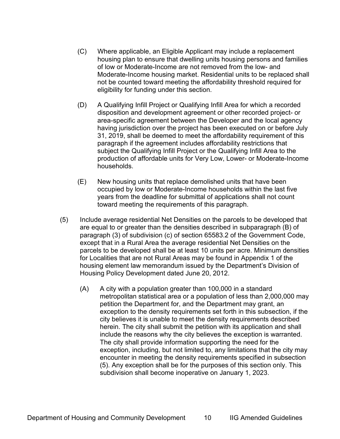- (C) Where applicable, an Eligible Applicant may include a replacement housing plan to ensure that dwelling units housing persons and families of low or Moderate-Income are not removed from the low- and Moderate-Income housing market. Residential units to be replaced shall not be counted toward meeting the affordability threshold required for eligibility for funding under this section.
- (D) A Qualifying Infill Project or Qualifying Infill Area for which a recorded disposition and development agreement or other recorded project- or area-specific agreement between the Developer and the local agency having jurisdiction over the project has been executed on or before July 31, 2019, shall be deemed to meet the affordability requirement of this paragraph if the agreement includes affordability restrictions that subject the Qualifying Infill Project or the Qualifying Infill Area to the production of affordable units for Very Low, Lower- or Moderate-Income households.
- (E) New housing units that replace demolished units that have been occupied by low or Moderate-Income households within the last five years from the deadline for submittal of applications shall not count toward meeting the requirements of this paragraph.
- (5) Include average residential Net Densities on the parcels to be developed that are equal to or greater than the densities described in subparagraph (B) of paragraph (3) of subdivision (c) of section 65583.2 of the Government Code, except that in a Rural Area the average residential Net Densities on the parcels to be developed shall be at least 10 units per acre. Minimum densities for Localities that are not Rural Areas may be found in Appendix 1 of the housing element law memorandum issued by the Department's Division of Housing Policy Development dated June 20, 2012.
	- (A) A city with a population greater than 100,000 in a standard metropolitan statistical area or a population of less than 2,000,000 may petition the Department for, and the Department may grant, an exception to the density requirements set forth in this subsection, if the city believes it is unable to meet the density requirements described herein. The city shall submit the petition with its application and shall include the reasons why the city believes the exception is warranted. The city shall provide information supporting the need for the exception, including, but not limited to, any limitations that the city may encounter in meeting the density requirements specified in subsection (5). Any exception shall be for the purposes of this section only. This subdivision shall become inoperative on January 1, 2023.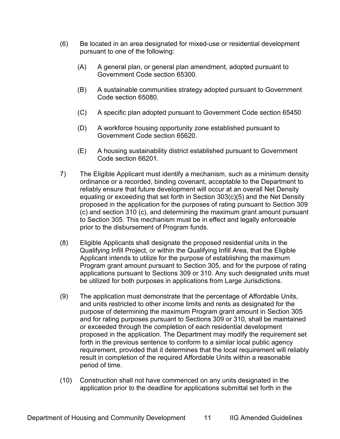- (6) Be located in an area designated for mixed-use or residential development pursuant to one of the following:
	- (A) A general plan, or general plan amendment, adopted pursuant to Government Code section 65300.
	- (B) A sustainable communities strategy adopted pursuant to Government Code section 65080.
	- (C) A specific plan adopted pursuant to Government Code section 65450
	- (D) A workforce housing opportunity zone established pursuant to Government Code section 65620.
	- (E) A housing sustainability district established pursuant to Government Code section 66201.
- 7) The Eligible Applicant must identify a mechanism, such as a minimum density ordinance or a recorded, binding covenant, acceptable to the Department to reliably ensure that future development will occur at an overall Net Density equaling or exceeding that set forth in Section 303(c)(5) and the Net Density proposed in the application for the purposes of rating pursuant to Section 309 (c) and section 310 (c), and determining the maximum grant amount pursuant to Section 305. This mechanism must be in effect and legally enforceable prior to the disbursement of Program funds.
- (8) Eligible Applicants shall designate the proposed residential units in the Qualifying Infill Project, or within the Qualifying Infill Area, that the Eligible Applicant intends to utilize for the purpose of establishing the maximum Program grant amount pursuant to Section 305, and for the purpose of rating applications pursuant to Sections 309 or 310. Any such designated units must be utilized for both purposes in applications from Large Jurisdictions.
- (9) The application must demonstrate that the percentage of Affordable Units, and units restricted to other income limits and rents as designated for the purpose of determining the maximum Program grant amount in Section 305 and for rating purposes pursuant to Sections 309 or 310, shall be maintained or exceeded through the completion of each residential development proposed in the application. The Department may modify the requirement set forth in the previous sentence to conform to a similar local public agency requirement, provided that it determines that the local requirement will reliably result in completion of the required Affordable Units within a reasonable period of time.
- (10) Construction shall not have commenced on any units designated in the application prior to the deadline for applications submittal set forth in the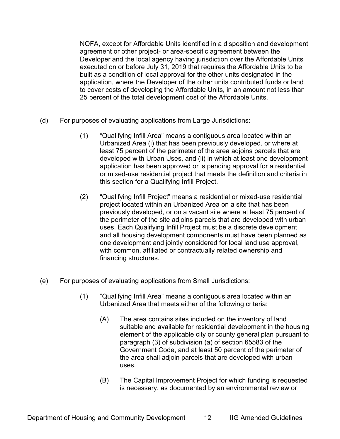NOFA, except for Affordable Units identified in a disposition and development agreement or other project- or area-specific agreement between the Developer and the local agency having jurisdiction over the Affordable Units executed on or before July 31, 2019 that requires the Affordable Units to be built as a condition of local approval for the other units designated in the application, where the Developer of the other units contributed funds or land to cover costs of developing the Affordable Units, in an amount not less than 25 percent of the total development cost of the Affordable Units.

- (d) For purposes of evaluating applications from Large Jurisdictions:
	- (1) "Qualifying Infill Area" means a contiguous area located within an Urbanized Area (i) that has been previously developed, or where at least 75 percent of the perimeter of the area adjoins parcels that are developed with Urban Uses, and (ii) in which at least one development application has been approved or is pending approval for a residential or mixed-use residential project that meets the definition and criteria in this section for a Qualifying Infill Project.
	- (2) "Qualifying Infill Project" means a residential or mixed-use residential project located within an Urbanized Area on a site that has been previously developed, or on a vacant site where at least 75 percent of the perimeter of the site adjoins parcels that are developed with urban uses. Each Qualifying Infill Project must be a discrete development and all housing development components must have been planned as one development and jointly considered for local land use approval, with common, affiliated or contractually related ownership and financing structures.
- (e) For purposes of evaluating applications from Small Jurisdictions:
	- (1) "Qualifying Infill Area" means a contiguous area located within an Urbanized Area that meets either of the following criteria:
		- (A) The area contains sites included on the inventory of land suitable and available for residential development in the housing element of the applicable city or county general plan pursuant to paragraph (3) of subdivision (a) of section 65583 of the Government Code, and at least 50 percent of the perimeter of the area shall adjoin parcels that are developed with urban uses.
		- (B) The Capital Improvement Project for which funding is requested is necessary, as documented by an environmental review or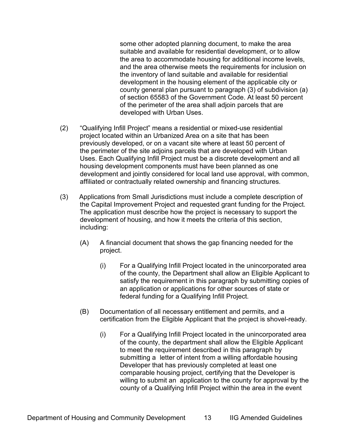some other adopted planning document, to make the area suitable and available for residential development, or to allow the area to accommodate housing for additional income levels, and the area otherwise meets the requirements for inclusion on the inventory of land suitable and available for residential development in the housing element of the applicable city or county general plan pursuant to paragraph (3) of subdivision (a) of section 65583 of the Government Code. At least 50 percent of the perimeter of the area shall adjoin parcels that are developed with Urban Uses.

- (2) "Qualifying Infill Project" means a residential or mixed-use residential project located within an Urbanized Area on a site that has been previously developed, or on a vacant site where at least 50 percent of the perimeter of the site adjoins parcels that are developed with Urban Uses. Each Qualifying Infill Project must be a discrete development and all housing development components must have been planned as one development and jointly considered for local land use approval, with common, affiliated or contractually related ownership and financing structures.
- (3) Applications from Small Jurisdictions must include a complete description of the Capital Improvement Project and requested grant funding for the Project. The application must describe how the project is necessary to support the development of housing, and how it meets the criteria of this section, including:
	- (A) A financial document that shows the gap financing needed for the project.
		- (i) For a Qualifying Infill Project located in the unincorporated area of the county, the Department shall allow an Eligible Applicant to satisfy the requirement in this paragraph by submitting copies of an application or applications for other sources of state or federal funding for a Qualifying Infill Project.
	- (B) Documentation of all necessary entitlement and permits, and a certification from the Eligible Applicant that the project is shovel-ready.
		- (i) For a Qualifying Infill Project located in the unincorporated area of the county, the department shall allow the Eligible Applicant to meet the requirement described in this paragraph by submitting a letter of intent from a willing affordable housing Developer that has previously completed at least one comparable housing project, certifying that the Developer is willing to submit an application to the county for approval by the county of a Qualifying Infill Project within the area in the event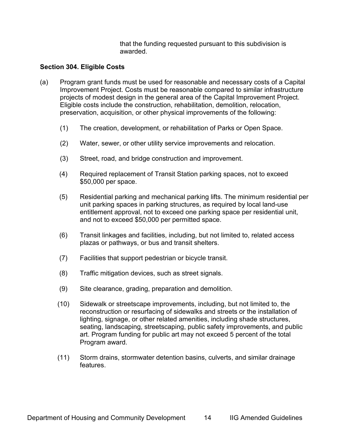that the funding requested pursuant to this subdivision is awarded.

#### <span id="page-13-0"></span>**Section 304. Eligible Costs**

- (a) Program grant funds must be used for reasonable and necessary costs of a Capital Improvement Project. Costs must be reasonable compared to similar infrastructure projects of modest design in the general area of the Capital Improvement Project. Eligible costs include the construction, rehabilitation, demolition, relocation, preservation, acquisition, or other physical improvements of the following:
	- (1) The creation, development, or rehabilitation of Parks or Open Space.
	- (2) Water, sewer, or other utility service improvements and relocation.
	- (3) Street, road, and bridge construction and improvement.
	- (4) Required replacement of Transit Station parking spaces, not to exceed \$50,000 per space.
	- (5) Residential parking and mechanical parking lifts. The minimum residential per unit parking spaces in parking structures, as required by local land-use entitlement approval, not to exceed one parking space per residential unit, and not to exceed \$50,000 per permitted space.
	- (6) Transit linkages and facilities, including, but not limited to, related access plazas or pathways, or bus and transit shelters.
	- (7) Facilities that support pedestrian or bicycle transit.
	- (8) Traffic mitigation devices, such as street signals.
	- (9) Site clearance, grading, preparation and demolition.
	- (10) Sidewalk or streetscape improvements, including, but not limited to, the reconstruction or resurfacing of sidewalks and streets or the installation of lighting, signage, or other related amenities, including shade structures, seating, landscaping, streetscaping, public safety improvements, and public art. Program funding for public art may not exceed 5 percent of the total Program award.
	- (11) Storm drains, stormwater detention basins, culverts, and similar drainage features.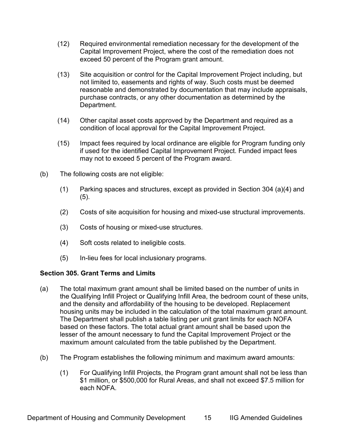- (12) Required environmental remediation necessary for the development of the Capital Improvement Project, where the cost of the remediation does not exceed 50 percent of the Program grant amount.
- (13) Site acquisition or control for the Capital Improvement Project including, but not limited to, easements and rights of way. Such costs must be deemed reasonable and demonstrated by documentation that may include appraisals, purchase contracts, or any other documentation as determined by the Department.
- (14) Other capital asset costs approved by the Department and required as a condition of local approval for the Capital Improvement Project.
- (15) Impact fees required by local ordinance are eligible for Program funding only if used for the identified Capital Improvement Project. Funded impact fees may not to exceed 5 percent of the Program award.
- (b) The following costs are not eligible:
	- (1) Parking spaces and structures, except as provided in Section 304 (a)(4) and (5).
	- (2) Costs of site acquisition for housing and mixed-use structural improvements.
	- (3) Costs of housing or mixed-use structures.
	- (4) Soft costs related to ineligible costs.
	- (5) In-lieu fees for local inclusionary programs.

#### <span id="page-14-0"></span>**Section 305. Grant Terms and Limits**

- (a) The total maximum grant amount shall be limited based on the number of units in the Qualifying Infill Project or Qualifying Infill Area, the bedroom count of these units, and the density and affordability of the housing to be developed. Replacement housing units may be included in the calculation of the total maximum grant amount. The Department shall publish a table listing per unit grant limits for each NOFA based on these factors. The total actual grant amount shall be based upon the lesser of the amount necessary to fund the Capital Improvement Project or the maximum amount calculated from the table published by the Department.
- (b) The Program establishes the following minimum and maximum award amounts:
	- (1) For Qualifying Infill Projects, the Program grant amount shall not be less than \$1 million, or \$500,000 for Rural Areas, and shall not exceed \$7.5 million for each NOFA.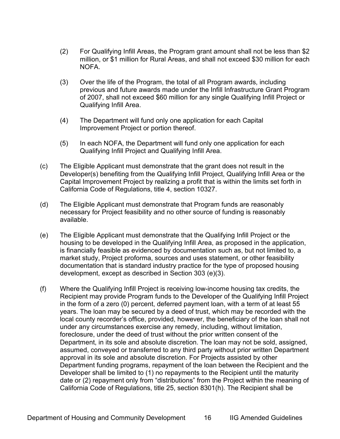- (2) For Qualifying Infill Areas, the Program grant amount shall not be less than \$2 million, or \$1 million for Rural Areas, and shall not exceed \$30 million for each NOFA.
- (3) Over the life of the Program, the total of all Program awards, including previous and future awards made under the Infill Infrastructure Grant Program of 2007, shall not exceed \$60 million for any single Qualifying Infill Project or Qualifying Infill Area.
- (4) The Department will fund only one application for each Capital Improvement Project or portion thereof.
- (5) In each NOFA, the Department will fund only one application for each Qualifying Infill Project and Qualifying Infill Area.
- (c) The Eligible Applicant must demonstrate that the grant does not result in the Developer(s) benefiting from the Qualifying Infill Project, Qualifying Infill Area or the Capital Improvement Project by realizing a profit that is within the limits set forth in California Code of Regulations, title 4, section 10327.
- (d) The Eligible Applicant must demonstrate that Program funds are reasonably necessary for Project feasibility and no other source of funding is reasonably available.
- (e) The Eligible Applicant must demonstrate that the Qualifying Infill Project or the housing to be developed in the Qualifying Infill Area, as proposed in the application, is financially feasible as evidenced by documentation such as, but not limited to, a market study, Project proforma, sources and uses statement, or other feasibility documentation that is standard industry practice for the type of proposed housing development, except as described in Section 303 (e)(3).
- (f) Where the Qualifying Infill Project is receiving low-income housing tax credits, the Recipient may provide Program funds to the Developer of the Qualifying Infill Project in the form of a zero (0) percent, deferred payment loan, with a term of at least 55 years. The loan may be secured by a deed of trust, which may be recorded with the local county recorder's office, provided, however, the beneficiary of the loan shall not under any circumstances exercise any remedy, including, without limitation, foreclosure, under the deed of trust without the prior written consent of the Department, in its sole and absolute discretion. The loan may not be sold, assigned, assumed, conveyed or transferred to any third party without prior written Department approval in its sole and absolute discretion. For Projects assisted by other Department funding programs, repayment of the loan between the Recipient and the Developer shall be limited to (1) no repayments to the Recipient until the maturity date or (2) repayment only from "distributions" from the Project within the meaning of California Code of Regulations, title 25, section 8301(h). The Recipient shall be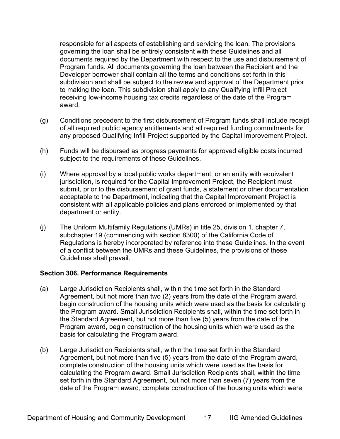responsible for all aspects of establishing and servicing the loan. The provisions governing the loan shall be entirely consistent with these Guidelines and all documents required by the Department with respect to the use and disbursement of Program funds. All documents governing the loan between the Recipient and the Developer borrower shall contain all the terms and conditions set forth in this subdivision and shall be subject to the review and approval of the Department prior to making the loan. This subdivision shall apply to any Qualifying Infill Project receiving low-income housing tax credits regardless of the date of the Program award.

- (g) Conditions precedent to the first disbursement of Program funds shall include receipt of all required public agency entitlements and all required funding commitments for any proposed Qualifying Infill Project supported by the Capital Improvement Project.
- (h) Funds will be disbursed as progress payments for approved eligible costs incurred subject to the requirements of these Guidelines.
- (i) Where approval by a local public works department, or an entity with equivalent jurisdiction, is required for the Capital Improvement Project, the Recipient must submit, prior to the disbursement of grant funds, a statement or other documentation acceptable to the Department, indicating that the Capital Improvement Project is consistent with all applicable policies and plans enforced or implemented by that department or entity.
- (j) The Uniform Multifamily Regulations (UMRs) in title 25, division 1, chapter 7, subchapter 19 (commencing with section 8300) of the California Code of Regulations is hereby incorporated by reference into these Guidelines. In the event of a conflict between the UMRs and these Guidelines, the provisions of these Guidelines shall prevail.

#### <span id="page-16-0"></span>**Section 306. Performance Requirements**

- (a) Large Jurisdiction Recipients shall, within the time set forth in the Standard Agreement, but not more than two (2) years from the date of the Program award, begin construction of the housing units which were used as the basis for calculating the Program award. Small Jurisdiction Recipients shall, within the time set forth in the Standard Agreement, but not more than five (5) years from the date of the Program award, begin construction of the housing units which were used as the basis for calculating the Program award.
- (b) Large Jurisdiction Recipients shall, within the time set forth in the Standard Agreement, but not more than five (5) years from the date of the Program award, complete construction of the housing units which were used as the basis for calculating the Program award. Small Jurisdiction Recipients shall, within the time set forth in the Standard Agreement, but not more than seven (7) years from the date of the Program award, complete construction of the housing units which were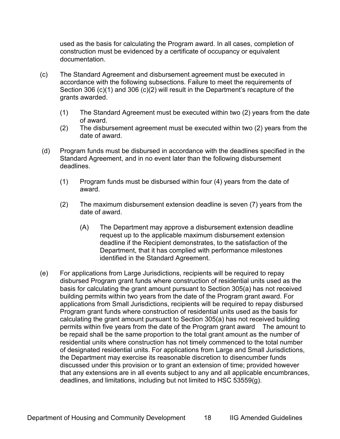used as the basis for calculating the Program award. In all cases, completion of construction must be evidenced by a certificate of occupancy or equivalent documentation.

- (c) The Standard Agreement and disbursement agreement must be executed in accordance with the following subsections. Failure to meet the requirements of Section 306 (c)(1) and 306 (c)(2) will result in the Department's recapture of the grants awarded.
	- (1) The Standard Agreement must be executed within two (2) years from the date of award.
	- (2) The disbursement agreement must be executed within two (2) years from the date of award.
- (d) Program funds must be disbursed in accordance with the deadlines specified in the Standard Agreement, and in no event later than the following disbursement deadlines.
	- (1) Program funds must be disbursed within four (4) years from the date of award.
	- (2) The maximum disbursement extension deadline is seven (7) years from the date of award.
		- (A) The Department may approve a disbursement extension deadline request up to the applicable maximum disbursement extension deadline if the Recipient demonstrates, to the satisfaction of the Department, that it has complied with performance milestones identified in the Standard Agreement.
- (e) For applications from Large Jurisdictions, recipients will be required to repay disbursed Program grant funds where construction of residential units used as the basis for calculating the grant amount pursuant to Section 305(a) has not received building permits within two years from the date of the Program grant award. For applications from Small Jurisdictions, recipients will be required to repay disbursed Program grant funds where construction of residential units used as the basis for calculating the grant amount pursuant to Section 305(a) has not received building permits within five years from the date of the Program grant award The amount to be repaid shall be the same proportion to the total grant amount as the number of residential units where construction has not timely commenced to the total number of designated residential units. For applications from Large and Small Jurisdictions, the Department may exercise its reasonable discretion to disencumber funds discussed under this provision or to grant an extension of time; provided however that any extensions are in all events subject to any and all applicable encumbrances, deadlines, and limitations, including but not limited to HSC 53559(g).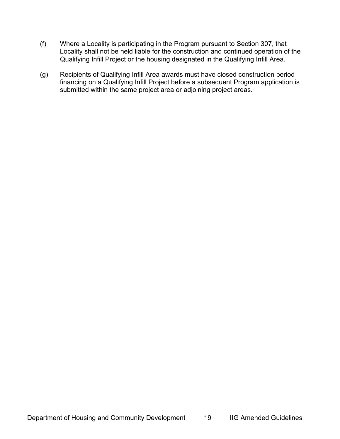- (f) Where a Locality is participating in the Program pursuant to Section 307, that Locality shall not be held liable for the construction and continued operation of the Qualifying Infill Project or the housing designated in the Qualifying Infill Area.
- (g) Recipients of Qualifying Infill Area awards must have closed construction period financing on a Qualifying Infill Project before a subsequent Program application is submitted within the same project area or adjoining project areas.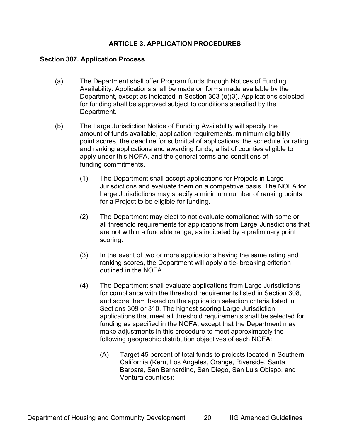#### **ARTICLE 3. APPLICATION PROCEDURES**

#### <span id="page-19-1"></span><span id="page-19-0"></span>**Section 307. Application Process**

- (a) The Department shall offer Program funds through Notices of Funding Availability. Applications shall be made on forms made available by the Department, except as indicated in Section 303 (e)(3). Applications selected for funding shall be approved subject to conditions specified by the Department.
- (b) The Large Jurisdiction Notice of Funding Availability will specify the amount of funds available, application requirements, minimum eligibility point scores, the deadline for submittal of applications, the schedule for rating and ranking applications and awarding funds, a list of counties eligible to apply under this NOFA, and the general terms and conditions of funding commitments.
	- (1) The Department shall accept applications for Projects in Large Jurisdictions and evaluate them on a competitive basis. The NOFA for Large Jurisdictions may specify a minimum number of ranking points for a Project to be eligible for funding.
	- (2) The Department may elect to not evaluate compliance with some or all threshold requirements for applications from Large Jurisdictions that are not within a fundable range, as indicated by a preliminary point scoring.
	- (3) In the event of two or more applications having the same rating and ranking scores, the Department will apply a tie- breaking criterion outlined in the NOFA.
	- (4) The Department shall evaluate applications from Large Jurisdictions for compliance with the threshold requirements listed in Section 308, and score them based on the application selection criteria listed in Sections 309 or 310. The highest scoring Large Jurisdiction applications that meet all threshold requirements shall be selected for funding as specified in the NOFA, except that the Department may make adjustments in this procedure to meet approximately the following geographic distribution objectives of each NOFA:
		- (A) Target 45 percent of total funds to projects located in Southern California (Kern, Los Angeles, Orange, Riverside, Santa Barbara, San Bernardino, San Diego, San Luis Obispo, and Ventura counties);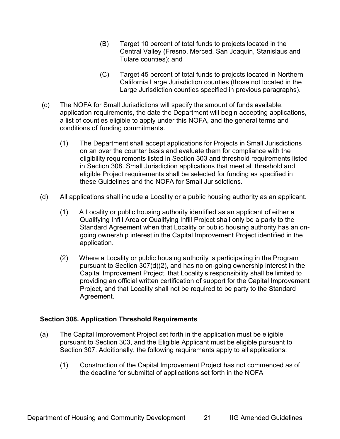- (B) Target 10 percent of total funds to projects located in the Central Valley (Fresno, Merced, San Joaquin, Stanislaus and Tulare counties); and
- (C) Target 45 percent of total funds to projects located in Northern California Large Jurisdiction counties (those not located in the Large Jurisdiction counties specified in previous paragraphs).
- (c) The NOFA for Small Jurisdictions will specify the amount of funds available, application requirements, the date the Department will begin accepting applications, a list of counties eligible to apply under this NOFA, and the general terms and conditions of funding commitments.
	- (1) The Department shall accept applications for Projects in Small Jurisdictions on an over the counter basis and evaluate them for compliance with the eligibility requirements listed in Section 303 and threshold requirements listed in Section 308. Small Jurisdiction applications that meet all threshold and eligible Project requirements shall be selected for funding as specified in these Guidelines and the NOFA for Small Jurisdictions.
- (d) All applications shall include a Locality or a public housing authority as an applicant.
	- (1) A Locality or public housing authority identified as an applicant of either a Qualifying Infill Area or Qualifying Infill Project shall only be a party to the Standard Agreement when that Locality or public housing authority has an ongoing ownership interest in the Capital Improvement Project identified in the application.
	- (2) Where a Locality or public housing authority is participating in the Program pursuant to Section 307(d)(2), and has no on-going ownership interest in the Capital Improvement Project, that Locality's responsibility shall be limited to providing an official written certification of support for the Capital Improvement Project, and that Locality shall not be required to be party to the Standard Agreement.

#### <span id="page-20-0"></span>**Section 308. Application Threshold Requirements**

- (a) The Capital Improvement Project set forth in the application must be eligible pursuant to Section 303, and the Eligible Applicant must be eligible pursuant to Section 307. Additionally, the following requirements apply to all applications:
	- (1) Construction of the Capital Improvement Project has not commenced as of the deadline for submittal of applications set forth in the NOFA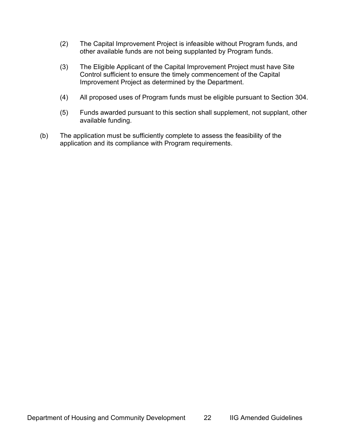- (2) The Capital Improvement Project is infeasible without Program funds, and other available funds are not being supplanted by Program funds.
- (3) The Eligible Applicant of the Capital Improvement Project must have Site Control sufficient to ensure the timely commencement of the Capital Improvement Project as determined by the Department.
- (4) All proposed uses of Program funds must be eligible pursuant to Section 304.
- (5) Funds awarded pursuant to this section shall supplement, not supplant, other available funding.
- (b) The application must be sufficiently complete to assess the feasibility of the application and its compliance with Program requirements.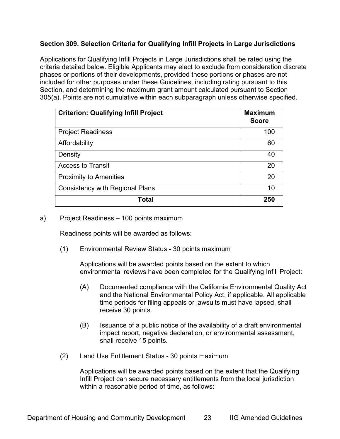#### <span id="page-22-0"></span>**Section 309. Selection Criteria for Qualifying Infill Projects in Large Jurisdictions**

Applications for Qualifying Infill Projects in Large Jurisdictions shall be rated using the criteria detailed below. Eligible Applicants may elect to exclude from consideration discrete phases or portions of their developments, provided these portions or phases are not included for other purposes under these Guidelines, including rating pursuant to this Section, and determining the maximum grant amount calculated pursuant to Section 305(a). Points are not cumulative within each subparagraph unless otherwise specified.

| <b>Criterion: Qualifying Infill Project</b> | <b>Maximum</b><br><b>Score</b> |
|---------------------------------------------|--------------------------------|
| <b>Project Readiness</b>                    | 100                            |
| Affordability                               | 60                             |
| Density                                     | 40                             |
| <b>Access to Transit</b>                    | 20                             |
| <b>Proximity to Amenities</b>               | 20                             |
| <b>Consistency with Regional Plans</b>      | 10                             |
| Total                                       | 250                            |

a) Project Readiness – 100 points maximum

Readiness points will be awarded as follows:

(1) Environmental Review Status - 30 points maximum

Applications will be awarded points based on the extent to which environmental reviews have been completed for the Qualifying Infill Project:

- (A) Documented compliance with the California Environmental Quality Act and the National Environmental Policy Act, if applicable. All applicable time periods for filing appeals or lawsuits must have lapsed, shall receive 30 points.
- (B) Issuance of a public notice of the availability of a draft environmental impact report, negative declaration, or environmental assessment, shall receive 15 points.
- (2) Land Use Entitlement Status 30 points maximum

Applications will be awarded points based on the extent that the Qualifying Infill Project can secure necessary entitlements from the local jurisdiction within a reasonable period of time, as follows: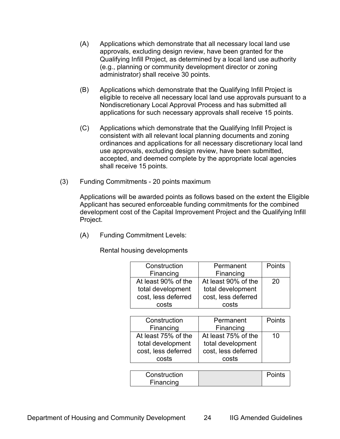- (A) Applications which demonstrate that all necessary local land use approvals, excluding design review, have been granted for the Qualifying Infill Project, as determined by a local land use authority (e.g., planning or community development director or zoning administrator) shall receive 30 points.
- (B) Applications which demonstrate that the Qualifying Infill Project is eligible to receive all necessary local land use approvals pursuant to a Nondiscretionary Local Approval Process and has submitted all applications for such necessary approvals shall receive 15 points.
- (C) Applications which demonstrate that the Qualifying Infill Project is consistent with all relevant local planning documents and zoning ordinances and applications for all necessary discretionary local land use approvals, excluding design review, have been submitted, accepted, and deemed complete by the appropriate local agencies shall receive 15 points.
- (3) Funding Commitments 20 points maximum

Applications will be awarded points as follows based on the extent the Eligible Applicant has secured enforceable funding commitments for the combined development cost of the Capital Improvement Project and the Qualifying Infill Project.

(A) Funding Commitment Levels:

Rental housing developments

| Construction        | Permanent           | Points |
|---------------------|---------------------|--------|
| Financing           | Financing           |        |
| At least 90% of the | At least 90% of the | 20     |
| total development   | total development   |        |
| cost, less deferred | cost, less deferred |        |
| costs               | costs               |        |
|                     |                     |        |
| Construction        | Permanent           | Points |
| Einancing           | Einancing           |        |

| <b>UUIISHUUHUII</b> | <u>Feillidheill</u> | голлы |
|---------------------|---------------------|-------|
| Financing           | Financing           |       |
| At least 75% of the | At least 75% of the | 10    |
| total development   | total development   |       |
| cost, less deferred | cost, less deferred |       |
| costs               | costs               |       |
|                     |                     |       |

| Construction | <b>Points</b> |
|--------------|---------------|
| Financing    |               |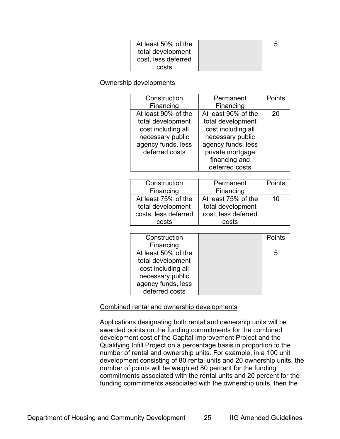| At least 50% of the |  |
|---------------------|--|
| total development   |  |
| cost, less deferred |  |
| costs               |  |

#### Ownership developments

| Construction        | Permanent           | Points |
|---------------------|---------------------|--------|
|                     |                     |        |
| Financing           | Financing           |        |
| At least 90% of the | At least 90% of the | 20     |
| total development   | total development   |        |
| cost including all  | cost including all  |        |
| necessary public    | necessary public    |        |
| agency funds, less  | agency funds, less  |        |
| deferred costs      | private mortgage    |        |
|                     | financing and       |        |
|                     | deferred costs      |        |

| Construction         | Permanent           | Points |
|----------------------|---------------------|--------|
| Financing            | Financing           |        |
| At least 75% of the  | At least 75% of the | 10     |
| total development    | total development   |        |
| costs, less deferred | cost, less deferred |        |
| costs                | costs               |        |

| Construction        | Points       |
|---------------------|--------------|
| Financing           |              |
| At least 50% of the | $\mathbf{5}$ |
| total development   |              |
| cost including all  |              |
| necessary public    |              |
| agency funds, less  |              |
| deferred costs      |              |

#### Combined rental and ownership developments

Applications designating both rental and ownership units will be awarded points on the funding commitments for the combined development cost of the Capital Improvement Project and the Qualifying Infill Project on a percentage basis in proportion to the number of rental and ownership units. For example, in a 100 unit development consisting of 80 rental units and 20 ownership units, the number of points will be weighted 80 percent for the funding commitments associated with the rental units and 20 percent for the funding commitments associated with the ownership units, then the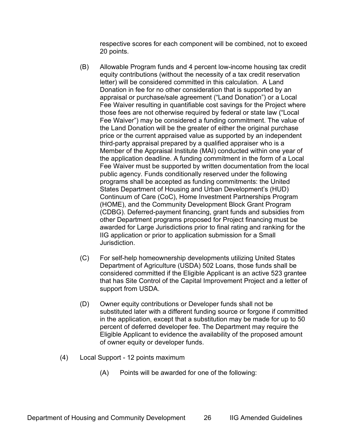respective scores for each component will be combined, not to exceed 20 points.

- (B) Allowable Program funds and 4 percent low-income housing tax credit equity contributions (without the necessity of a tax credit reservation letter) will be considered committed in this calculation. A Land Donation in fee for no other consideration that is supported by an appraisal or purchase/sale agreement ("Land Donation") or a Local Fee Waiver resulting in quantifiable cost savings for the Project where those fees are not otherwise required by federal or state law ("Local Fee Waiver") may be considered a funding commitment. The value of the Land Donation will be the greater of either the original purchase price or the current appraised value as supported by an independent third-party appraisal prepared by a qualified appraiser who is a Member of the Appraisal Institute (MAI) conducted within one year of the application deadline. A funding commitment in the form of a Local Fee Waiver must be supported by written documentation from the local public agency. Funds conditionally reserved under the following programs shall be accepted as funding commitments: the United States Department of Housing and Urban Development's (HUD) Continuum of Care (CoC), Home Investment Partnerships Program (HOME), and the Community Development Block Grant Program (CDBG). Deferred-payment financing, grant funds and subsidies from other Department programs proposed for Project financing must be awarded for Large Jurisdictions prior to final rating and ranking for the IIG application or prior to application submission for a Small Jurisdiction.
- (C) For self-help homeownership developments utilizing United States Department of Agriculture (USDA) 502 Loans, those funds shall be considered committed if the Eligible Applicant is an active 523 grantee that has Site Control of the Capital Improvement Project and a letter of support from USDA.
- (D) Owner equity contributions or Developer funds shall not be substituted later with a different funding source or forgone if committed in the application, except that a substitution may be made for up to 50 percent of deferred developer fee. The Department may require the Eligible Applicant to evidence the availability of the proposed amount of owner equity or developer funds.
- (4) Local Support 12 points maximum
	- (A) Points will be awarded for one of the following: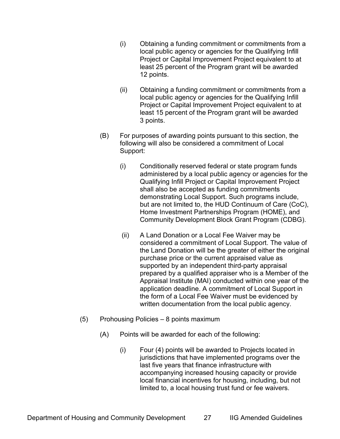- (i) Obtaining a funding commitment or commitments from a local public agency or agencies for the Qualifying Infill Project or Capital Improvement Project equivalent to at least 25 percent of the Program grant will be awarded 12 points.
- (ii) Obtaining a funding commitment or commitments from a local public agency or agencies for the Qualifying Infill Project or Capital Improvement Project equivalent to at least 15 percent of the Program grant will be awarded 3 points.
- (B) For purposes of awarding points pursuant to this section, the following will also be considered a commitment of Local Support:
	- (i) Conditionally reserved federal or state program funds administered by a local public agency or agencies for the Qualifying Infill Project or Capital Improvement Project shall also be accepted as funding commitments demonstrating Local Support. Such programs include, but are not limited to, the HUD Continuum of Care (CoC), Home Investment Partnerships Program (HOME), and Community Development Block Grant Program (CDBG).
	- (ii) A Land Donation or a Local Fee Waiver may be considered a commitment of Local Support. The value of the Land Donation will be the greater of either the original purchase price or the current appraised value as supported by an independent third-party appraisal prepared by a qualified appraiser who is a Member of the Appraisal Institute (MAI) conducted within one year of the application deadline. A commitment of Local Support in the form of a Local Fee Waiver must be evidenced by written documentation from the local public agency.
- (5) Prohousing Policies 8 points maximum
	- (A) Points will be awarded for each of the following:
		- (i) Four (4) points will be awarded to Projects located in jurisdictions that have implemented programs over the last five years that finance infrastructure with accompanying increased housing capacity or provide local financial incentives for housing, including, but not limited to, a local housing trust fund or fee waivers.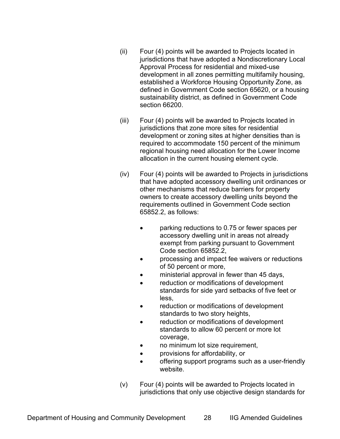- (ii) Four (4) points will be awarded to Projects located in jurisdictions that have adopted a Nondiscretionary Local Approval Process for residential and mixed-use development in all zones permitting multifamily housing, established a Workforce Housing Opportunity Zone, as defined in Government Code section 65620, or a housing sustainability district, as defined in Government Code section 66200.
- (iii) Four (4) points will be awarded to Projects located in jurisdictions that zone more sites for residential development or zoning sites at higher densities than is required to accommodate 150 percent of the minimum regional housing need allocation for the Lower Income allocation in the current housing element cycle.
- (iv) Four (4) points will be awarded to Projects in jurisdictions that have adopted accessory dwelling unit ordinances or other mechanisms that reduce barriers for property owners to create accessory dwelling units beyond the requirements outlined in Government Code section 65852.2, as follows:
	- parking reductions to 0.75 or fewer spaces per accessory dwelling unit in areas not already exempt from parking pursuant to Government Code section 65852.2,
	- processing and impact fee waivers or reductions of 50 percent or more,
	- ministerial approval in fewer than 45 days,
	- reduction or modifications of development standards for side yard setbacks of five feet or less,
	- reduction or modifications of development standards to two story heights,
	- reduction or modifications of development standards to allow 60 percent or more lot coverage,
	- no minimum lot size requirement,
	- provisions for affordability, or
	- offering support programs such as a user-friendly website.
- (v) Four (4) points will be awarded to Projects located in jurisdictions that only use objective design standards for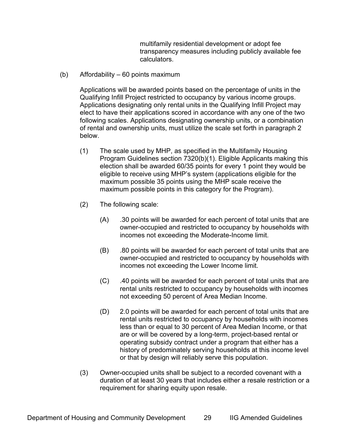multifamily residential development or adopt fee transparency measures including publicly available fee calculators.

(b) Affordability – 60 points maximum

Applications will be awarded points based on the percentage of units in the Qualifying Infill Project restricted to occupancy by various income groups. Applications designating only rental units in the Qualifying Infill Project may elect to have their applications scored in accordance with any one of the two following scales. Applications designating ownership units, or a combination of rental and ownership units, must utilize the scale set forth in paragraph 2 below.

- (1) The scale used by MHP, as specified in the Multifamily Housing Program Guidelines section 7320(b)(1). Eligible Applicants making this election shall be awarded 60/35 points for every 1 point they would be eligible to receive using MHP's system (applications eligible for the maximum possible 35 points using the MHP scale receive the maximum possible points in this category for the Program).
- (2) The following scale:
	- (A) .30 points will be awarded for each percent of total units that are owner-occupied and restricted to occupancy by households with incomes not exceeding the Moderate-Income limit.
	- (B) .80 points will be awarded for each percent of total units that are owner-occupied and restricted to occupancy by households with incomes not exceeding the Lower Income limit.
	- (C) .40 points will be awarded for each percent of total units that are rental units restricted to occupancy by households with incomes not exceeding 50 percent of Area Median Income.
	- (D) 2.0 points will be awarded for each percent of total units that are rental units restricted to occupancy by households with incomes less than or equal to 30 percent of Area Median Income, or that are or will be covered by a long-term, project-based rental or operating subsidy contract under a program that either has a history of predominately serving households at this income level or that by design will reliably serve this population.
- (3) Owner-occupied units shall be subject to a recorded covenant with a duration of at least 30 years that includes either a resale restriction or a requirement for sharing equity upon resale.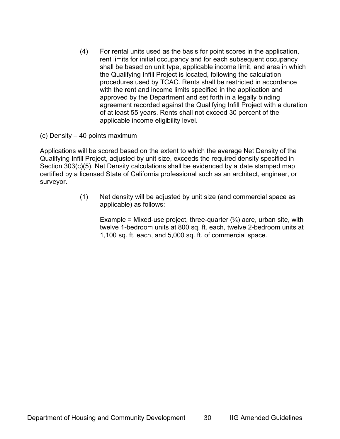(4) For rental units used as the basis for point scores in the application, rent limits for initial occupancy and for each subsequent occupancy shall be based on unit type, applicable income limit, and area in which the Qualifying Infill Project is located, following the calculation procedures used by TCAC. Rents shall be restricted in accordance with the rent and income limits specified in the application and approved by the Department and set forth in a legally binding agreement recorded against the Qualifying Infill Project with a duration of at least 55 years. Rents shall not exceed 30 percent of the applicable income eligibility level.

(c) Density – 40 points maximum

Applications will be scored based on the extent to which the average Net Density of the Qualifying Infill Project, adjusted by unit size, exceeds the required density specified in Section 303(c)(5). Net Density calculations shall be evidenced by a date stamped map certified by a licensed State of California professional such as an architect, engineer, or surveyor.

> (1) Net density will be adjusted by unit size (and commercial space as applicable) as follows:

Example = Mixed-use project, three-quarter  $(3/4)$  acre, urban site, with twelve 1-bedroom units at 800 sq. ft. each, twelve 2-bedroom units at 1,100 sq. ft. each, and 5,000 sq. ft. of commercial space.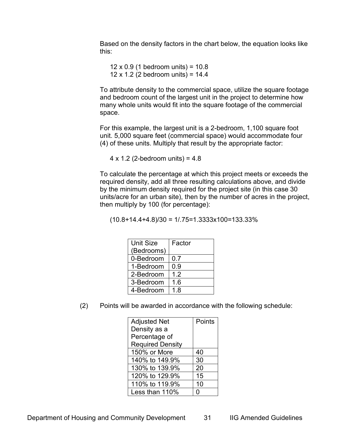Based on the density factors in the chart below, the equation looks like this:

12 x 0.9 (1 bedroom units) =  $10.8$ 12 x 1.2 (2 bedroom units) =  $14.4$ 

To attribute density to the commercial space, utilize the square footage and bedroom count of the largest unit in the project to determine how many whole units would fit into the square footage of the commercial space.

For this example, the largest unit is a 2-bedroom, 1,100 square foot unit. 5,000 square feet (commercial space) would accommodate four (4) of these units. Multiply that result by the appropriate factor:

4 x 1.2 (2-bedroom units) =  $4.8$ 

To calculate the percentage at which this project meets or exceeds the required density, add all three resulting calculations above, and divide by the minimum density required for the project site (in this case 30 units/acre for an urban site), then by the number of acres in the project, then multiply by 100 (for percentage):

```
(10.8+14.4+4.8)/30 = 1/75=1.3333x100=133.33%
```

| <b>Unit Size</b> | Factor |
|------------------|--------|
| (Bedrooms)       |        |
| 0-Bedroom        | 0.7    |
| 1-Bedroom        | 0.9    |
| 2-Bedroom        | 1.2    |
| 3-Bedroom        | 1.6    |
| 4-Bedroom        | 18     |

(2) Points will be awarded in accordance with the following schedule:

| <b>Adjusted Net</b>     | Points |
|-------------------------|--------|
| Density as a            |        |
| Percentage of           |        |
| <b>Required Density</b> |        |
| 150% or More            | 40     |
| 140% to 149.9%          | 30     |
| 130% to 139.9%          | 20     |
| 120% to 129.9%          | 15     |
| 110% to 119.9%          | 10     |
| Less than 110%          | 0      |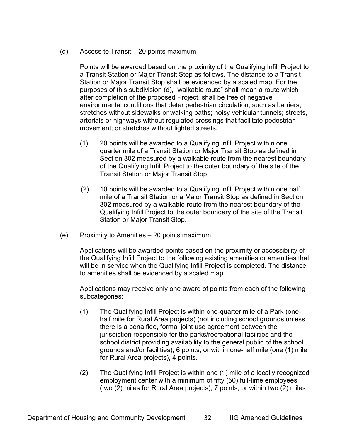(d) Access to Transit – 20 points maximum

Points will be awarded based on the proximity of the Qualifying Infill Project to a Transit Station or Major Transit Stop as follows. The distance to a Transit Station or Major Transit Stop shall be evidenced by a scaled map. For the purposes of this subdivision (d), "walkable route" shall mean a route which after completion of the proposed Project, shall be free of negative environmental conditions that deter pedestrian circulation, such as barriers; stretches without sidewalks or walking paths; noisy vehicular tunnels; streets, arterials or highways without regulated crossings that facilitate pedestrian movement; or stretches without lighted streets.

- (1) 20 points will be awarded to a Qualifying Infill Project within one quarter mile of a Transit Station or Major Transit Stop as defined in Section 302 measured by a walkable route from the nearest boundary of the Qualifying Infill Project to the outer boundary of the site of the Transit Station or Major Transit Stop.
- (2) 10 points will be awarded to a Qualifying Infill Project within one half mile of a Transit Station or a Major Transit Stop as defined in Section 302 measured by a walkable route from the nearest boundary of the Qualifying Infill Project to the outer boundary of the site of the Transit Station or Major Transit Stop.
- (e) Proximity to Amenities 20 points maximum

Applications will be awarded points based on the proximity or accessibility of the Qualifying Infill Project to the following existing amenities or amenities that will be in service when the Qualifying Infill Project is completed. The distance to amenities shall be evidenced by a scaled map.

Applications may receive only one award of points from each of the following subcategories:

- (1) The Qualifying Infill Project is within one-quarter mile of a Park (onehalf mile for Rural Area projects) (not including school grounds unless there is a bona fide, formal joint use agreement between the jurisdiction responsible for the parks/recreational facilities and the school district providing availability to the general public of the school grounds and/or facilities), 6 points, or within one-half mile (one (1) mile for Rural Area projects), 4 points.
- (2) The Qualifying Infill Project is within one (1) mile of a locally recognized employment center with a minimum of fifty (50) full-time employees (two (2) miles for Rural Area projects), 7 points, or within two (2) miles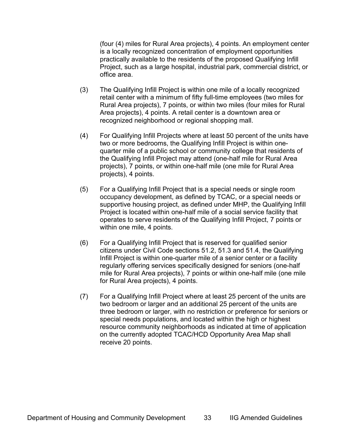(four (4) miles for Rural Area projects), 4 points. An employment center is a locally recognized concentration of employment opportunities practically available to the residents of the proposed Qualifying Infill Project, such as a large hospital, industrial park, commercial district, or office area.

- (3) The Qualifying Infill Project is within one mile of a locally recognized retail center with a minimum of fifty full-time employees (two miles for Rural Area projects), 7 points, or within two miles (four miles for Rural Area projects), 4 points. A retail center is a downtown area or recognized neighborhood or regional shopping mall.
- (4) For Qualifying Infill Projects where at least 50 percent of the units have two or more bedrooms, the Qualifying Infill Project is within onequarter mile of a public school or community college that residents of the Qualifying Infill Project may attend (one-half mile for Rural Area projects), 7 points, or within one-half mile (one mile for Rural Area projects), 4 points.
- (5) For a Qualifying Infill Project that is a special needs or single room occupancy development, as defined by TCAC, or a special needs or supportive housing project, as defined under MHP, the Qualifying Infill Project is located within one-half mile of a social service facility that operates to serve residents of the Qualifying Infill Project, 7 points or within one mile, 4 points.
- (6) For a Qualifying Infill Project that is reserved for qualified senior citizens under Civil Code sections 51.2, 51.3 and 51.4, the Qualifying Infill Project is within one-quarter mile of a senior center or a facility regularly offering services specifically designed for seniors (one-half mile for Rural Area projects), 7 points or within one-half mile (one mile for Rural Area projects), 4 points.
- (7) For a Qualifying Infill Project where at least 25 percent of the units are two bedroom or larger and an additional 25 percent of the units are three bedroom or larger, with no restriction or preference for seniors or special needs populations, and located within the high or highest resource community neighborhoods as indicated at time of application on the currently adopted TCAC/HCD Opportunity Area Map shall receive 20 points.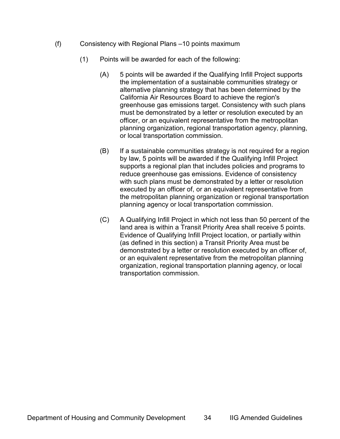- (f) Consistency with Regional Plans –10 points maximum
	- (1) Points will be awarded for each of the following:
		- (A) 5 points will be awarded if the Qualifying Infill Project supports the implementation of a sustainable communities strategy or alternative planning strategy that has been determined by the California Air Resources Board to achieve the region's greenhouse gas emissions target. Consistency with such plans must be demonstrated by a letter or resolution executed by an officer, or an equivalent representative from the metropolitan planning organization, regional transportation agency, planning, or local transportation commission.
		- (B) If a sustainable communities strategy is not required for a region by law, 5 points will be awarded if the Qualifying Infill Project supports a regional plan that includes policies and programs to reduce greenhouse gas emissions. Evidence of consistency with such plans must be demonstrated by a letter or resolution executed by an officer of, or an equivalent representative from the metropolitan planning organization or regional transportation planning agency or local transportation commission.
		- (C) A Qualifying Infill Project in which not less than 50 percent of the land area is within a Transit Priority Area shall receive 5 points. Evidence of Qualifying Infill Project location, or partially within (as defined in this section) a Transit Priority Area must be demonstrated by a letter or resolution executed by an officer of, or an equivalent representative from the metropolitan planning organization, regional transportation planning agency, or local transportation commission.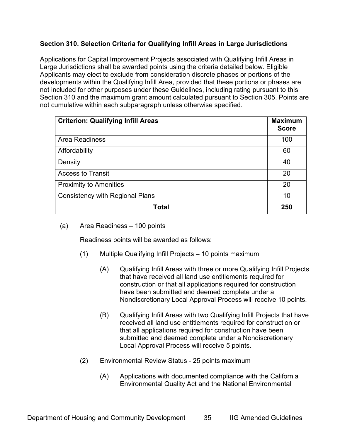#### <span id="page-34-0"></span>**Section 310. Selection Criteria for Qualifying Infill Areas in Large Jurisdictions**

Applications for Capital Improvement Projects associated with Qualifying Infill Areas in Large Jurisdictions shall be awarded points using the criteria detailed below. Eligible Applicants may elect to exclude from consideration discrete phases or portions of the developments within the Qualifying Infill Area, provided that these portions or phases are not included for other purposes under these Guidelines, including rating pursuant to this Section 310 and the maximum grant amount calculated pursuant to Section 305. Points are not cumulative within each subparagraph unless otherwise specified.

| <b>Criterion: Qualifying Infill Areas</b> | <b>Maximum</b><br><b>Score</b> |
|-------------------------------------------|--------------------------------|
| <b>Area Readiness</b>                     | 100                            |
| Affordability                             | 60                             |
| Density                                   | 40                             |
| <b>Access to Transit</b>                  | 20                             |
| <b>Proximity to Amenities</b>             | 20                             |
| <b>Consistency with Regional Plans</b>    | 10                             |
| Total                                     | 250                            |

(a) Area Readiness – 100 points

Readiness points will be awarded as follows:

- (1) Multiple Qualifying Infill Projects 10 points maximum
	- (A) Qualifying Infill Areas with three or more Qualifying Infill Projects that have received all land use entitlements required for construction or that all applications required for construction have been submitted and deemed complete under a Nondiscretionary Local Approval Process will receive 10 points.
	- (B) Qualifying Infill Areas with two Qualifying Infill Projects that have received all land use entitlements required for construction or that all applications required for construction have been submitted and deemed complete under a Nondiscretionary Local Approval Process will receive 5 points.
- (2) Environmental Review Status 25 points maximum
	- (A) Applications with documented compliance with the California Environmental Quality Act and the National Environmental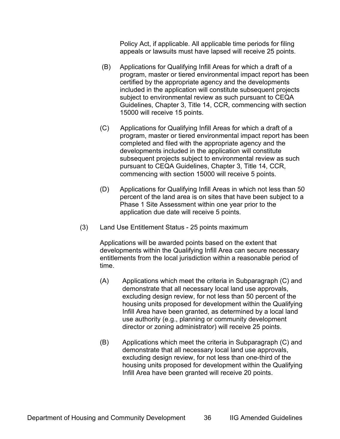Policy Act, if applicable. All applicable time periods for filing appeals or lawsuits must have lapsed will receive 25 points.

- (B) Applications for Qualifying Infill Areas for which a draft of a program, master or tiered environmental impact report has been certified by the appropriate agency and the developments included in the application will constitute subsequent projects subject to environmental review as such pursuant to CEQA Guidelines, Chapter 3, Title 14, CCR, commencing with section 15000 will receive 15 points.
- (C) Applications for Qualifying Infill Areas for which a draft of a program, master or tiered environmental impact report has been completed and filed with the appropriate agency and the developments included in the application will constitute subsequent projects subject to environmental review as such pursuant to CEQA Guidelines, Chapter 3, Title 14, CCR, commencing with section 15000 will receive 5 points.
- (D) Applications for Qualifying Infill Areas in which not less than 50 percent of the land area is on sites that have been subject to a Phase 1 Site Assessment within one year prior to the application due date will receive 5 points.
- (3) Land Use Entitlement Status 25 points maximum

Applications will be awarded points based on the extent that developments within the Qualifying Infill Area can secure necessary entitlements from the local jurisdiction within a reasonable period of time.

- (A) Applications which meet the criteria in Subparagraph (C) and demonstrate that all necessary local land use approvals, excluding design review, for not less than 50 percent of the housing units proposed for development within the Qualifying Infill Area have been granted, as determined by a local land use authority (e.g., planning or community development director or zoning administrator) will receive 25 points.
- (B) Applications which meet the criteria in Subparagraph (C) and demonstrate that all necessary local land use approvals, excluding design review, for not less than one-third of the housing units proposed for development within the Qualifying Infill Area have been granted will receive 20 points.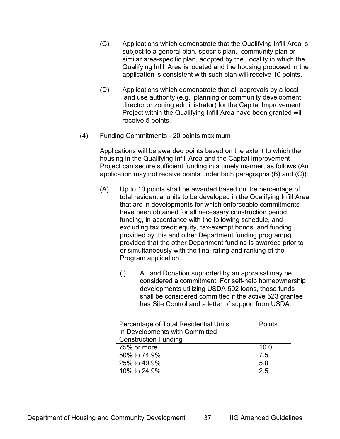- (C) Applications which demonstrate that the Qualifying Infill Area is subject to a general plan, specific plan, community plan or similar area-specific plan, adopted by the Locality in which the Qualifying Infill Area is located and the housing proposed in the application is consistent with such plan will receive 10 points.
- (D) Applications which demonstrate that all approvals by a local land use authority (e.g., planning or community development director or zoning administrator) for the Capital Improvement Project within the Qualifying Infill Area have been granted will receive 5 points.
- (4) Funding Commitments 20 points maximum

Applications will be awarded points based on the extent to which the housing in the Qualifying Infill Area and the Capital Improvement Project can secure sufficient funding in a timely manner, as follows (An application may not receive points under both paragraphs (B) and (C)):

- (A) Up to 10 points shall be awarded based on the percentage of total residential units to be developed in the Qualifying Infill Area that are in developments for which enforceable commitments have been obtained for all necessary construction period funding, in accordance with the following schedule, and excluding tax credit equity, tax-exempt bonds, and funding provided by this and other Department funding program(s) provided that the other Department funding is awarded prior to or simultaneously with the final rating and ranking of the Program application.
	- (i) A Land Donation supported by an appraisal may be considered a commitment. For self-help homeownership developments utilizing USDA 502 loans, those funds shall be considered committed if the active 523 grantee has Site Control and a letter of support from USDA.

| Percentage of Total Residential Units | Points |
|---------------------------------------|--------|
| In Developments with Committed        |        |
| <b>Construction Funding</b>           |        |
| 75% or more                           | 10.0   |
| 50% to 74.9%                          | 7.5    |
| 25% to 49.9%                          | 5.0    |
| 10% to 24.9%                          | 2.5    |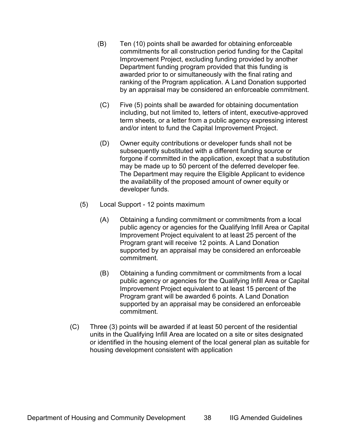- (B) Ten (10) points shall be awarded for obtaining enforceable commitments for all construction period funding for the Capital Improvement Project, excluding funding provided by another Department funding program provided that this funding is awarded prior to or simultaneously with the final rating and ranking of the Program application. A Land Donation supported by an appraisal may be considered an enforceable commitment.
- (C) Five (5) points shall be awarded for obtaining documentation including, but not limited to, letters of intent, executive-approved term sheets, or a letter from a public agency expressing interest and/or intent to fund the Capital Improvement Project.
- (D) Owner equity contributions or developer funds shall not be subsequently substituted with a different funding source or forgone if committed in the application, except that a substitution may be made up to 50 percent of the deferred developer fee. The Department may require the Eligible Applicant to evidence the availability of the proposed amount of owner equity or developer funds.
- (5) Local Support 12 points maximum
	- (A) Obtaining a funding commitment or commitments from a local public agency or agencies for the Qualifying Infill Area or Capital Improvement Project equivalent to at least 25 percent of the Program grant will receive 12 points. A Land Donation supported by an appraisal may be considered an enforceable commitment.
	- (B) Obtaining a funding commitment or commitments from a local public agency or agencies for the Qualifying Infill Area or Capital Improvement Project equivalent to at least 15 percent of the Program grant will be awarded 6 points. A Land Donation supported by an appraisal may be considered an enforceable commitment.
- (C) Three (3) points will be awarded if at least 50 percent of the residential units in the Qualifying Infill Area are located on a site or sites designated or identified in the housing element of the local general plan as suitable for housing development consistent with application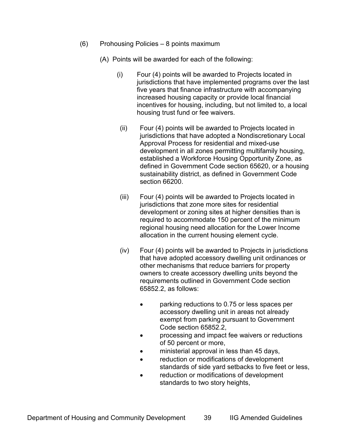- (6) Prohousing Policies 8 points maximum
	- (A) Points will be awarded for each of the following:
		- (i) Four (4) points will be awarded to Projects located in jurisdictions that have implemented programs over the last five years that finance infrastructure with accompanying increased housing capacity or provide local financial incentives for housing, including, but not limited to, a local housing trust fund or fee waivers.
		- (ii) Four (4) points will be awarded to Projects located in jurisdictions that have adopted a Nondiscretionary Local Approval Process for residential and mixed-use development in all zones permitting multifamily housing, established a Workforce Housing Opportunity Zone, as defined in Government Code section 65620, or a housing sustainability district, as defined in Government Code section 66200.
		- (iii) Four (4) points will be awarded to Projects located in jurisdictions that zone more sites for residential development or zoning sites at higher densities than is required to accommodate 150 percent of the minimum regional housing need allocation for the Lower Income allocation in the current housing element cycle.
		- (iv) Four (4) points will be awarded to Projects in jurisdictions that have adopted accessory dwelling unit ordinances or other mechanisms that reduce barriers for property owners to create accessory dwelling units beyond the requirements outlined in Government Code section 65852.2, as follows:
			- parking reductions to 0.75 or less spaces per accessory dwelling unit in areas not already exempt from parking pursuant to Government Code section 65852.2,
			- processing and impact fee waivers or reductions of 50 percent or more,
			- ministerial approval in less than 45 days,
			- reduction or modifications of development standards of side yard setbacks to five feet or less,
			- reduction or modifications of development standards to two story heights,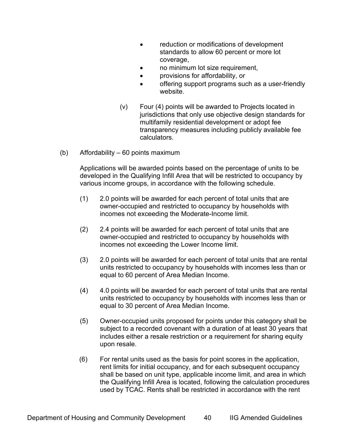- reduction or modifications of development standards to allow 60 percent or more lot coverage,
- no minimum lot size requirement,
- provisions for affordability, or
- offering support programs such as a user-friendly website.
- (v) Four (4) points will be awarded to Projects located in jurisdictions that only use objective design standards for multifamily residential development or adopt fee transparency measures including publicly available fee calculators.
- (b) Affordability 60 points maximum

Applications will be awarded points based on the percentage of units to be developed in the Qualifying Infill Area that will be restricted to occupancy by various income groups, in accordance with the following schedule.

- (1) 2.0 points will be awarded for each percent of total units that are owner-occupied and restricted to occupancy by households with incomes not exceeding the Moderate-Income limit.
- (2) 2.4 points will be awarded for each percent of total units that are owner-occupied and restricted to occupancy by households with incomes not exceeding the Lower Income limit.
- (3) 2.0 points will be awarded for each percent of total units that are rental units restricted to occupancy by households with incomes less than or equal to 60 percent of Area Median Income.
- (4) 4.0 points will be awarded for each percent of total units that are rental units restricted to occupancy by households with incomes less than or equal to 30 percent of Area Median Income.
- (5) Owner-occupied units proposed for points under this category shall be subject to a recorded covenant with a duration of at least 30 years that includes either a resale restriction or a requirement for sharing equity upon resale.
- (6) For rental units used as the basis for point scores in the application, rent limits for initial occupancy, and for each subsequent occupancy shall be based on unit type, applicable income limit, and area in which the Qualifying Infill Area is located, following the calculation procedures used by TCAC. Rents shall be restricted in accordance with the rent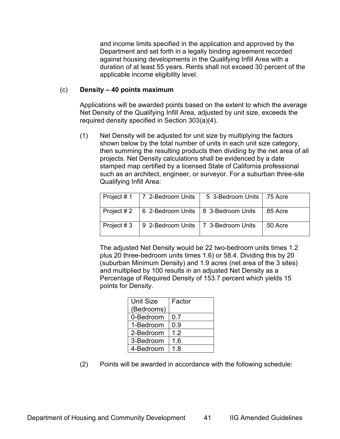and income limits specified in the application and approved by the Department and set forth in a legally binding agreement recorded against housing developments in the Qualifying Infill Area with a duration of at least 55 years. Rents shall not exceed 30 percent of the applicable income eligibility level.

#### (c) **Density – 40 points maximum**

Applications will be awarded points based on the extent to which the average Net Density of the Qualifying Infill Area, adjusted by unit size, exceeds the required density specified in Section 303(a)(4).

(1) Net Density will be adjusted for unit size by multiplying the factors shown below by the total number of units in each unit size category, then summing the resulting products then dividing by the net area of all projects. Net Density calculations shall be evidenced by a date stamped map certified by a licensed State of California professional such as an architect, engineer, or surveyor. For a suburban three-site Qualifying Infill Area:

|            | Project $# 1 \mid 7$ 2-Bedroom Units  | 5 3-Bedroom Units   .75 Acre |          |
|------------|---------------------------------------|------------------------------|----------|
| Project #2 | 6 2-Bedroom Units   8 3-Bedroom Units |                              | .65 Acre |
| Project #3 | 9 2-Bedroom Units   7 3-Bedroom Units |                              | .50 Acre |

The adjusted Net Density would be 22 two-bedroom units times 1.2 plus 20 three-bedroom units times 1.6) or 58.4. Dividing this by 20 (suburban Minimum Density) and 1.9 acres (net area of the 3 sites) and multiplied by 100 results in an adjusted Net Density as a Percentage of Required Density of 153.7 percent which yields 15 points for Density.

| <b>Unit Size</b> | Factor |
|------------------|--------|
| (Bedrooms)       |        |
| 0-Bedroom        | 0.7    |
| 1-Bedroom        | 0.9    |
| 2-Bedroom        | 1.2    |
| 3-Bedroom        | 1.6    |
| 4-Bedroom        | 1 8    |

(2) Points will be awarded in accordance with the following schedule: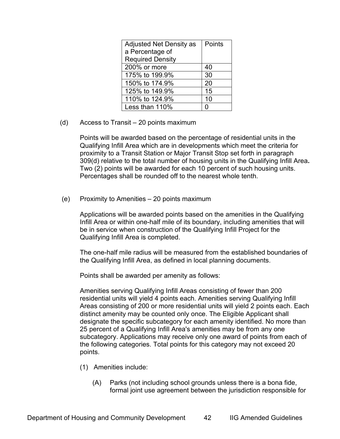| <b>Adjusted Net Density as</b> | Points |
|--------------------------------|--------|
| a Percentage of                |        |
| <b>Required Density</b>        |        |
| 200% or more                   | 40     |
| 175% to 199.9%                 | 30     |
| 150% to 174.9%                 | 20     |
| 125% to 149.9%                 | 15     |
| 110% to 124.9%                 | 10     |
| Less than 110%                 | n      |

(d) Access to Transit – 20 points maximum

Points will be awarded based on the percentage of residential units in the Qualifying Infill Area which are in developments which meet the criteria for proximity to a Transit Station or Major Transit Stop set forth in paragraph 309(d) relative to the total number of housing units in the Qualifying Infill Area**.**  Two (2) points will be awarded for each 10 percent of such housing units. Percentages shall be rounded off to the nearest whole tenth.

(e) Proximity to Amenities – 20 points maximum

Applications will be awarded points based on the amenities in the Qualifying Infill Area or within one-half mile of its boundary, including amenities that will be in service when construction of the Qualifying Infill Project for the Qualifying Infill Area is completed.

The one-half mile radius will be measured from the established boundaries of the Qualifying Infill Area, as defined in local planning documents.

Points shall be awarded per amenity as follows:

Amenities serving Qualifying Infill Areas consisting of fewer than 200 residential units will yield 4 points each. Amenities serving Qualifying Infill Areas consisting of 200 or more residential units will yield 2 points each. Each distinct amenity may be counted only once. The Eligible Applicant shall designate the specific subcategory for each amenity identified. No more than 25 percent of a Qualifying Infill Area's amenities may be from any one subcategory. Applications may receive only one award of points from each of the following categories. Total points for this category may not exceed 20 points.

- (1) Amenities include:
	- (A) Parks (not including school grounds unless there is a bona fide, formal joint use agreement between the jurisdiction responsible for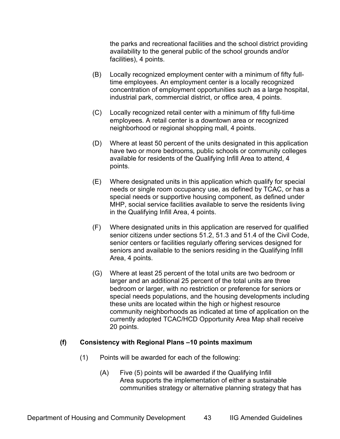the parks and recreational facilities and the school district providing availability to the general public of the school grounds and/or facilities), 4 points.

- (B) Locally recognized employment center with a minimum of fifty fulltime employees. An employment center is a locally recognized concentration of employment opportunities such as a large hospital, industrial park, commercial district, or office area, 4 points.
- (C) Locally recognized retail center with a minimum of fifty full-time employees. A retail center is a downtown area or recognized neighborhood or regional shopping mall, 4 points.
- (D) Where at least 50 percent of the units designated in this application have two or more bedrooms, public schools or community colleges available for residents of the Qualifying Infill Area to attend, 4 points.
- (E) Where designated units in this application which qualify for special needs or single room occupancy use, as defined by TCAC, or has a special needs or supportive housing component, as defined under MHP, social service facilities available to serve the residents living in the Qualifying Infill Area, 4 points.
- (F) Where designated units in this application are reserved for qualified senior citizens under sections 51.2, 51.3 and 51.4 of the Civil Code, senior centers or facilities regularly offering services designed for seniors and available to the seniors residing in the Qualifying Infill Area, 4 points.
- (G) Where at least 25 percent of the total units are two bedroom or larger and an additional 25 percent of the total units are three bedroom or larger, with no restriction or preference for seniors or special needs populations, and the housing developments including these units are located within the high or highest resource community neighborhoods as indicated at time of application on the currently adopted TCAC/HCD Opportunity Area Map shall receive 20 points.

#### **(f) Consistency with Regional Plans –10 points maximum**

- (1) Points will be awarded for each of the following:
	- (A) Five (5) points will be awarded if the Qualifying Infill Area supports the implementation of either a sustainable communities strategy or alternative planning strategy that has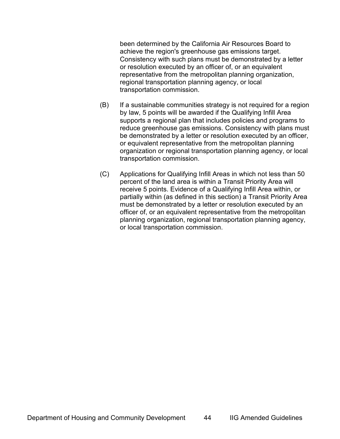been determined by the California Air Resources Board to achieve the region's greenhouse gas emissions target. Consistency with such plans must be demonstrated by a letter or resolution executed by an officer of, or an equivalent representative from the metropolitan planning organization, regional transportation planning agency, or local transportation commission.

- (B) If a sustainable communities strategy is not required for a region by law, 5 points will be awarded if the Qualifying Infill Area supports a regional plan that includes policies and programs to reduce greenhouse gas emissions. Consistency with plans must be demonstrated by a letter or resolution executed by an officer, or equivalent representative from the metropolitan planning organization or regional transportation planning agency, or local transportation commission.
- (C) Applications for Qualifying Infill Areas in which not less than 50 percent of the land area is within a Transit Priority Area will receive 5 points. Evidence of a Qualifying Infill Area within, or partially within (as defined in this section) a Transit Priority Area must be demonstrated by a letter or resolution executed by an officer of, or an equivalent representative from the metropolitan planning organization, regional transportation planning agency, or local transportation commission.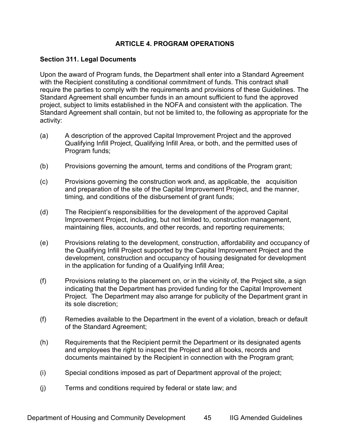#### **ARTICLE 4. PROGRAM OPERATIONS**

#### <span id="page-44-1"></span><span id="page-44-0"></span>**Section 311. Legal Documents**

Upon the award of Program funds, the Department shall enter into a Standard Agreement with the Recipient constituting a conditional commitment of funds. This contract shall require the parties to comply with the requirements and provisions of these Guidelines. The Standard Agreement shall encumber funds in an amount sufficient to fund the approved project, subject to limits established in the NOFA and consistent with the application. The Standard Agreement shall contain, but not be limited to, the following as appropriate for the activity:

- (a) A description of the approved Capital Improvement Project and the approved Qualifying Infill Project, Qualifying Infill Area, or both, and the permitted uses of Program funds;
- (b) Provisions governing the amount, terms and conditions of the Program grant;
- (c) Provisions governing the construction work and, as applicable, the acquisition and preparation of the site of the Capital Improvement Project, and the manner, timing, and conditions of the disbursement of grant funds;
- (d) The Recipient's responsibilities for the development of the approved Capital Improvement Project, including, but not limited to, construction management, maintaining files, accounts, and other records, and reporting requirements;
- (e) Provisions relating to the development, construction, affordability and occupancy of the Qualifying Infill Project supported by the Capital Improvement Project and the development, construction and occupancy of housing designated for development in the application for funding of a Qualifying Infill Area;
- (f) Provisions relating to the placement on, or in the vicinity of, the Project site, a sign indicating that the Department has provided funding for the Capital Improvement Project. The Department may also arrange for publicity of the Department grant in its sole discretion;
- (f) Remedies available to the Department in the event of a violation, breach or default of the Standard Agreement;
- (h) Requirements that the Recipient permit the Department or its designated agents and employees the right to inspect the Project and all books, records and documents maintained by the Recipient in connection with the Program grant;
- (i) Special conditions imposed as part of Department approval of the project;
- (j) Terms and conditions required by federal or state law; and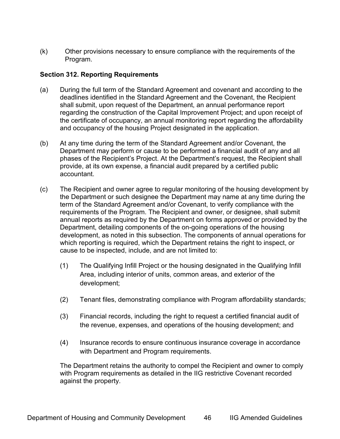(k) Other provisions necessary to ensure compliance with the requirements of the Program.

#### <span id="page-45-0"></span>**Section 312. Reporting Requirements**

- (a) During the full term of the Standard Agreement and covenant and according to the deadlines identified in the Standard Agreement and the Covenant, the Recipient shall submit, upon request of the Department, an annual performance report regarding the construction of the Capital Improvement Project; and upon receipt of the certificate of occupancy, an annual monitoring report regarding the affordability and occupancy of the housing Project designated in the application.
- (b) At any time during the term of the Standard Agreement and/or Covenant, the Department may perform or cause to be performed a financial audit of any and all phases of the Recipient's Project. At the Department's request, the Recipient shall provide, at its own expense, a financial audit prepared by a certified public accountant.
- (c) The Recipient and owner agree to regular monitoring of the housing development by the Department or such designee the Department may name at any time during the term of the Standard Agreement and/or Covenant, to verify compliance with the requirements of the Program. The Recipient and owner, or designee, shall submit annual reports as required by the Department on forms approved or provided by the Department, detailing components of the on-going operations of the housing development, as noted in this subsection. The components of annual operations for which reporting is required, which the Department retains the right to inspect, or cause to be inspected, include, and are not limited to:
	- (1) The Qualifying Infill Project or the housing designated in the Qualifying Infill Area, including interior of units, common areas, and exterior of the development;
	- (2) Tenant files, demonstrating compliance with Program affordability standards;
	- (3) Financial records, including the right to request a certified financial audit of the revenue, expenses, and operations of the housing development; and
	- (4) Insurance records to ensure continuous insurance coverage in accordance with Department and Program requirements.

The Department retains the authority to compel the Recipient and owner to comply with Program requirements as detailed in the IIG restrictive Covenant recorded against the property.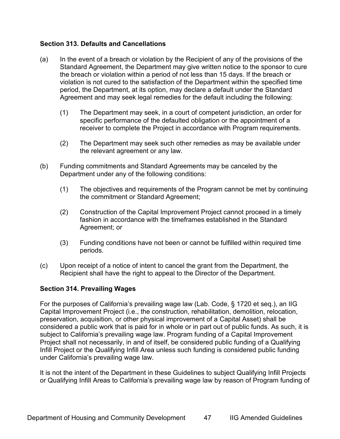#### <span id="page-46-0"></span>**Section 313. Defaults and Cancellations**

- (a) In the event of a breach or violation by the Recipient of any of the provisions of the Standard Agreement, the Department may give written notice to the sponsor to cure the breach or violation within a period of not less than 15 days. If the breach or violation is not cured to the satisfaction of the Department within the specified time period, the Department, at its option, may declare a default under the Standard Agreement and may seek legal remedies for the default including the following:
	- (1) The Department may seek, in a court of competent jurisdiction, an order for specific performance of the defaulted obligation or the appointment of a receiver to complete the Project in accordance with Program requirements.
	- (2) The Department may seek such other remedies as may be available under the relevant agreement or any law.
- (b) Funding commitments and Standard Agreements may be canceled by the Department under any of the following conditions:
	- (1) The objectives and requirements of the Program cannot be met by continuing the commitment or Standard Agreement;
	- (2) Construction of the Capital Improvement Project cannot proceed in a timely fashion in accordance with the timeframes established in the Standard Agreement; or
	- (3) Funding conditions have not been or cannot be fulfilled within required time periods.
- (c) Upon receipt of a notice of intent to cancel the grant from the Department, the Recipient shall have the right to appeal to the Director of the Department.

#### <span id="page-46-1"></span>**Section 314. Prevailing Wages**

For the purposes of California's prevailing wage law (Lab. Code, § 1720 et seq.), an IIG Capital Improvement Project (i.e., the construction, rehabilitation, demolition, relocation, preservation, acquisition, or other physical improvement of a Capital Asset) shall be considered a public work that is paid for in whole or in part out of public funds. As such, it is subject to California's prevailing wage law. Program funding of a Capital Improvement Project shall not necessarily, in and of itself, be considered public funding of a Qualifying Infill Project or the Qualifying Infill Area unless such funding is considered public funding under California's prevailing wage law.

It is not the intent of the Department in these Guidelines to subject Qualifying Infill Projects or Qualifying Infill Areas to California's prevailing wage law by reason of Program funding of